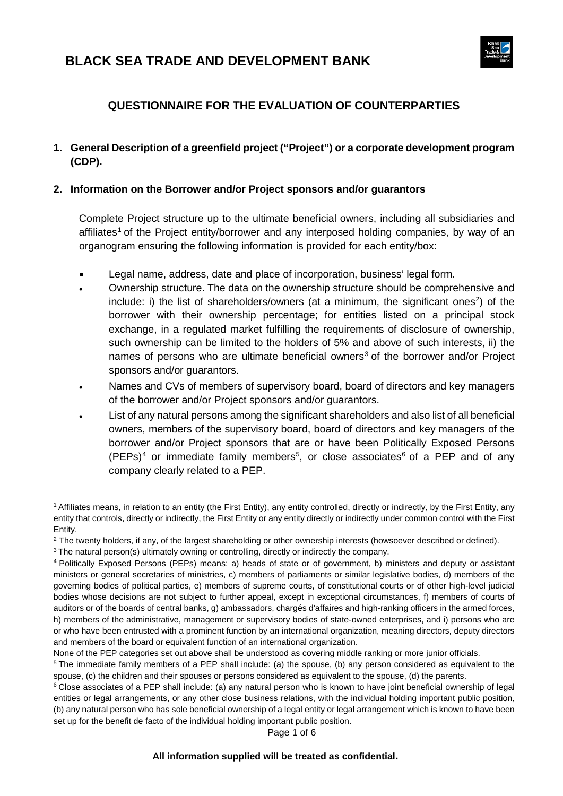

# **QUESTIONNAIRE FOR THE EVALUATION OF COUNTERPARTIES**

**1. General Description of a greenfield project ("Project") or a corporate development program (CDP).**

#### **2. Information on the Borrower and/or Project sponsors and/or guarantors**

Complete Project structure up to the ultimate beneficial owners, including all subsidiaries and affiliates<sup>[1](#page-0-0)</sup> of the Project entity/borrower and any interposed holding companies, by way of an organogram ensuring the following information is provided for each entity/box:

- Legal name, address, date and place of incorporation, business' legal form.
- Ownership structure. The data on the ownership structure should be comprehensive and include: i) the list of shareholders/owners (at a minimum, the significant ones<sup>[2](#page-0-1)</sup>) of the borrower with their ownership percentage; for entities listed on a principal stock exchange, in a regulated market fulfilling the requirements of disclosure of ownership, such ownership can be limited to the holders of 5% and above of such interests, ii) the names of persons who are ultimate beneficial owners<sup>[3](#page-0-2)</sup> of the borrower and/or Project sponsors and/or guarantors.
- Names and CVs of members of supervisory board, board of directors and key managers of the borrower and/or Project sponsors and/or guarantors.
- List of any natural persons among the significant shareholders and also list of all beneficial owners, members of the supervisory board, board of directors and key managers of the borrower and/or Project sponsors that are or have been Politically Exposed Persons  $(PEPs)^4$  $(PEPs)^4$  or immediate family members<sup>[5](#page-0-4)</sup>, or close associates<sup>[6](#page-0-5)</sup> of a PEP and of any company clearly related to a PEP.

Page 1 of 6

<span id="page-0-0"></span><sup>-</sup><sup>1</sup> Affiliates means, in relation to an entity (the First Entity), any entity controlled, directly or indirectly, by the First Entity, any entity that controls, directly or indirectly, the First Entity or any entity directly or indirectly under common control with the First Entity.

<span id="page-0-1"></span><sup>&</sup>lt;sup>2</sup> The twenty holders, if any, of the largest shareholding or other ownership interests (howsoever described or defined).

<span id="page-0-2"></span><sup>&</sup>lt;sup>3</sup> The natural person(s) ultimately owning or controlling, directly or indirectly the company.

<span id="page-0-3"></span><sup>4</sup> Politically Exposed Persons (PEPs) means: a) heads of state or of government, b) ministers and deputy or assistant ministers or general secretaries of ministries, c) members of parliaments or similar legislative bodies, d) members of the governing bodies of political parties, e) members of supreme courts, of constitutional courts or of other high-level judicial bodies whose decisions are not subject to further appeal, except in exceptional circumstances, f) members of courts of auditors or of the boards of central banks, g) ambassadors, chargés d'affaires and high-ranking officers in the armed forces, h) members of the administrative, management or supervisory bodies of state-owned enterprises, and i) persons who are or who have been entrusted with a prominent function by an international organization, meaning directors, deputy directors and members of the board or equivalent function of an international organization.

None of the PEP categories set out above shall be understood as covering middle ranking or more junior officials.

<span id="page-0-4"></span><sup>5</sup> The immediate family members of a PEP shall include: (a) the spouse, (b) any person considered as equivalent to the spouse, (c) the children and their spouses or persons considered as equivalent to the spouse, (d) the parents.

<span id="page-0-5"></span><sup>&</sup>lt;sup>6</sup> Close associates of a PEP shall include: (a) any natural person who is known to have joint beneficial ownership of legal entities or legal arrangements, or any other close business relations, with the individual holding important public position, (b) any natural person who has sole beneficial ownership of a legal entity or legal arrangement which is known to have been set up for the benefit de facto of the individual holding important public position.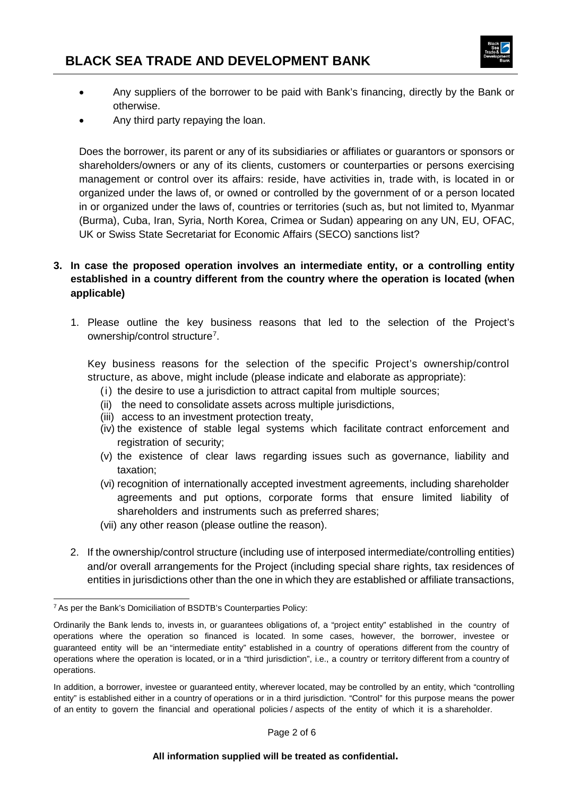

- Any suppliers of the borrower to be paid with Bank's financing, directly by the Bank or otherwise.
- Any third party repaying the loan.

Does the borrower, its parent or any of its subsidiaries or affiliates or guarantors or sponsors or shareholders/owners or any of its clients, customers or counterparties or persons exercising management or control over its affairs: reside, have activities in, trade with, is located in or organized under the laws of, or owned or controlled by the government of or a person located in or organized under the laws of, countries or territories (such as, but not limited to, Myanmar (Burma), Cuba, Iran, Syria, North Korea, Crimea or Sudan) appearing on any UN, EU, OFAC, UK or Swiss State Secretariat for Economic Affairs (SECO) sanctions list?

## **3. In case the proposed operation involves an intermediate entity, or a controlling entity established in a country different from the country where the operation is located (when applicable)**

1. Please outline the key business reasons that led to the selection of the Project's ownership/control structure<sup>[7](#page-1-0)</sup>.

Key business reasons for the selection of the specific Project's ownership/control structure, as above, might include (please indicate and elaborate as appropriate):

- (i) the desire to use a jurisdiction to attract capital from multiple sources;
- (ii) the need to consolidate assets across multiple jurisdictions,
- (iii) access to an investment protection treaty,
- (iv) the existence of stable legal systems which facilitate contract enforcement and registration of security;
- (v) the existence of clear laws regarding issues such as governance, liability and taxation;
- (vi) recognition of internationally accepted investment agreements, including shareholder agreements and put options, corporate forms that ensure limited liability of shareholders and instruments such as preferred shares;
- (vii) any other reason (please outline the reason).
- 2. If the ownership/control structure (including use of interposed intermediate/controlling entities) and/or overall arrangements for the Project (including special share rights, tax residences of entities in jurisdictions other than the one in which they are established or affiliate transactions,

<span id="page-1-0"></span><sup>-</sup><sup>7</sup> As per the Bank's Domiciliation of BSDTB's Counterparties Policy:

Ordinarily the Bank lends to, invests in, or guarantees obligations of, a "project entity" established in the country of operations where the operation so financed is located. In some cases, however, the borrower, investee or guaranteed entity will be an "intermediate entity" established in a country of operations different from the country of operations where the operation is located, or in a "third jurisdiction", i.e., a country or territory different from a country of operations.

In addition, a borrower, investee or guaranteed entity, wherever located, may be controlled by an entity, which "controlling entity" is established either in a country of operations or in a third jurisdiction. "Control" for this purpose means the power of an entity to govern the financial and operational policies / aspects of the entity of which it is a shareholder.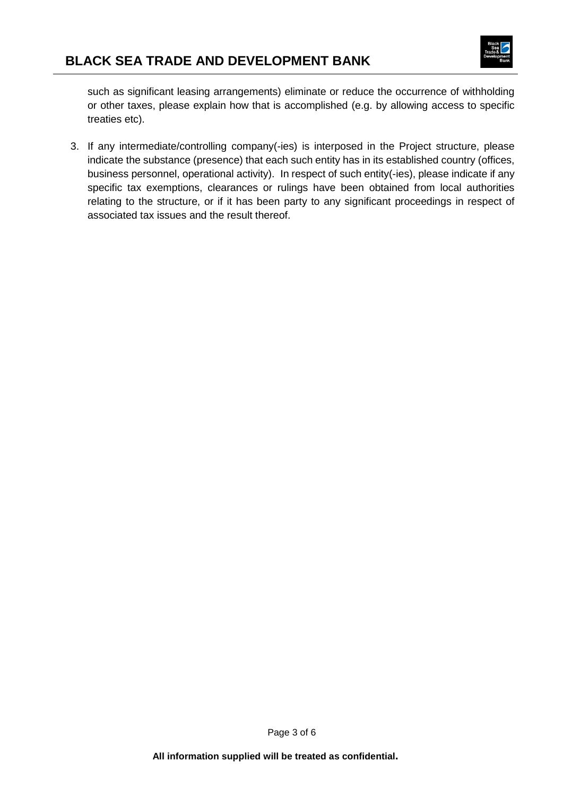

such as significant leasing arrangements) eliminate or reduce the occurrence of withholding or other taxes, please explain how that is accomplished (e.g. by allowing access to specific treaties etc).

3. If any intermediate/controlling company(-ies) is interposed in the Project structure, please indicate the substance (presence) that each such entity has in its established country (offices, business personnel, operational activity). In respect of such entity(-ies), please indicate if any specific tax exemptions, clearances or rulings have been obtained from local authorities relating to the structure, or if it has been party to any significant proceedings in respect of associated tax issues and the result thereof.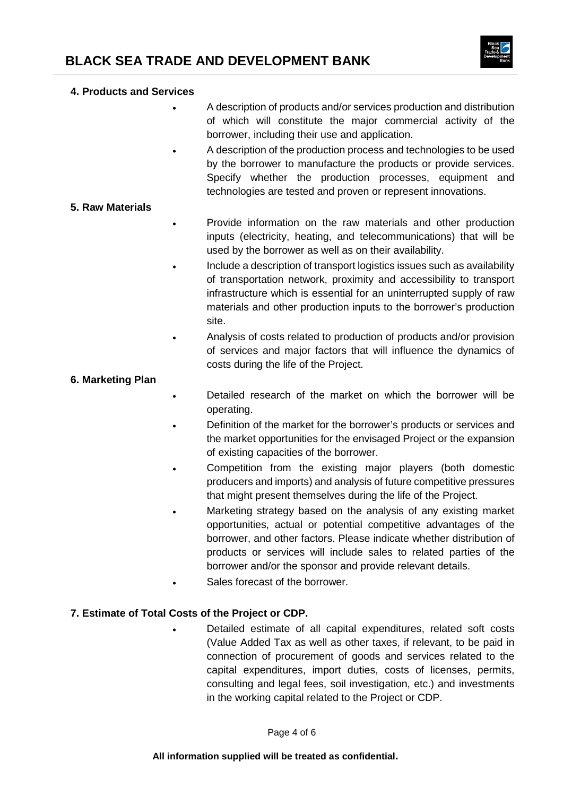

#### **4. Products and Services**

- A description of products and/or services production and distribution of which will constitute the major commercial activity of the borrower, including their use and application.
- A description of the production process and technologies to be used by the borrower to manufacture the products or provide services. Specify whether the production processes, equipment and technologies are tested and proven or represent innovations.

#### **5. Raw Materials**

- Provide information on the raw materials and other production inputs (electricity, heating, and telecommunications) that will be used by the borrower as well as on their availability.
- Include a description of transport logistics issues such as availability of transportation network, proximity and accessibility to transport infrastructure which is essential for an uninterrupted supply of raw materials and other production inputs to the borrower's production site.
- Analysis of costs related to production of products and/or provision of services and major factors that will influence the dynamics of costs during the life of the Project.

#### **6. Marketing Plan**

- Detailed research of the market on which the borrower will be operating.
- Definition of the market for the borrower's products or services and the market opportunities for the envisaged Project or the expansion of existing capacities of the borrower.
- Competition from the existing major players (both domestic producers and imports) and analysis of future competitive pressures that might present themselves during the life of the Project.
- Marketing strategy based on the analysis of any existing market opportunities, actual or potential competitive advantages of the borrower, and other factors. Please indicate whether distribution of products or services will include sales to related parties of the borrower and/or the sponsor and provide relevant details.
- Sales forecast of the borrower.

#### **7. Estimate of Total Costs of the Project or CDP.**

• Detailed estimate of all capital expenditures, related soft costs (Value Added Tax as well as other taxes, if relevant, to be paid in connection of procurement of goods and services related to the capital expenditures, import duties, costs of licenses, permits, consulting and legal fees, soil investigation, etc.) and investments in the working capital related to the Project or CDP.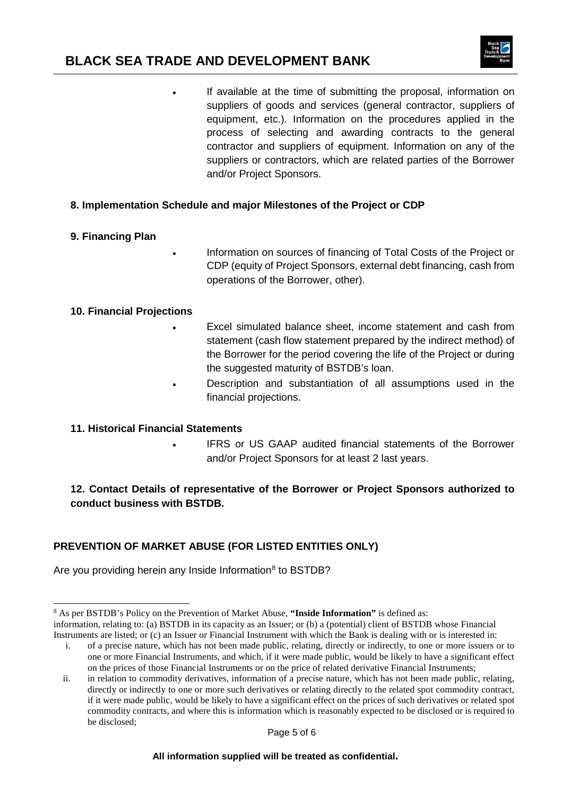# **BLACK SEA TRADE AND DEVELOPMENT BANK**



• If available at the time of submitting the proposal, information on suppliers of goods and services (general contractor, suppliers of equipment, etc.). Information on the procedures applied in the process of selecting and awarding contracts to the general contractor and suppliers of equipment. Information on any of the suppliers or contractors, which are related parties of the Borrower and/or Project Sponsors.

## **8. Implementation Schedule and major Milestones of the Project or CDP**

#### **9. Financing Plan**

• Information on sources of financing of Total Costs of the Project or CDP (equity of Project Sponsors, external debt financing, cash from operations of the Borrower, other).

#### **10. Financial Projections**

- Excel simulated balance sheet, income statement and cash from statement (cash flow statement prepared by the indirect method) of the Borrower for the period covering the life of the Project or during the suggested maturity of BSTDB's loan.
- Description and substantiation of all assumptions used in the financial projections.

#### **11. Historical Financial Statements**

IFRS or US GAAP audited financial statements of the Borrower and/or Project Sponsors for at least 2 last years.

# **12. Contact Details of representative of the Borrower or Project Sponsors authorized to conduct business with BSTDB.**

# **PREVENTION OF MARKET ABUSE (FOR LISTED ENTITIES ONLY)**

Are you providing herein any Inside Information<sup>[8](#page-4-0)</sup> to BSTDB?

#### **All information supplied will be treated as confidential.**

<span id="page-4-0"></span> <sup>8</sup> As per BSTDB's Policy on the Prevention of Market Abuse, **"Inside Information"** is defined as:

information, relating to: (a) BSTDB in its capacity as an Issuer; or (b) a (potential) client of BSTDB whose Financial Instruments are listed; or (c) an Issuer or Financial Instrument with which the Bank is dealing with or is interested in:

i. of a precise nature, which has not been made public, relating, directly or indirectly, to one or more issuers or to one or more Financial Instruments, and which, if it were made public, would be likely to have a significant effect on the prices of those Financial Instruments or on the price of related derivative Financial Instruments;

ii. in relation to commodity derivatives, information of a precise nature, which has not been made public, relating, directly or indirectly to one or more such derivatives or relating directly to the related spot commodity contract, if it were made public, would be likely to have a significant effect on the prices of such derivatives or related spot commodity contracts, and where this is information which is reasonably expected to be disclosed or is required to be disclosed;